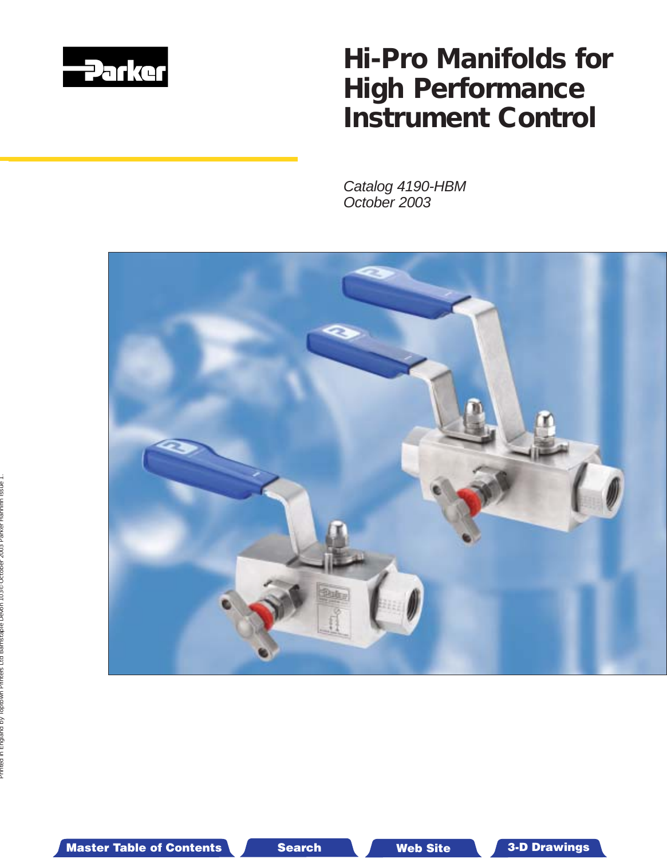

# *Hi-Pro Manifolds for High Performance Instrument Control*

Catalog 4190-HBM October 2003



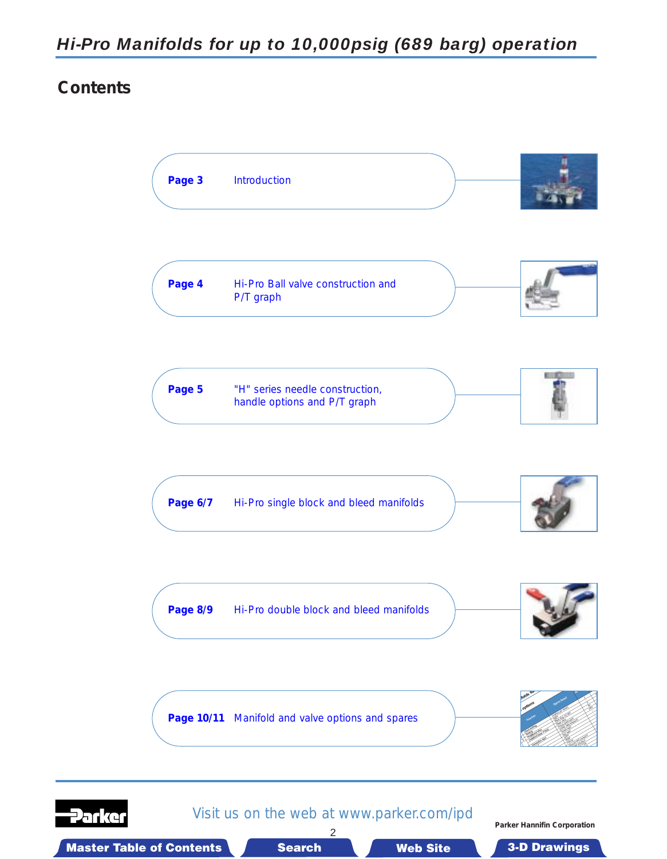# **Contents**





Visit us on the web at www.parker.com/ipd 2

**Parker Hannifin Corporation**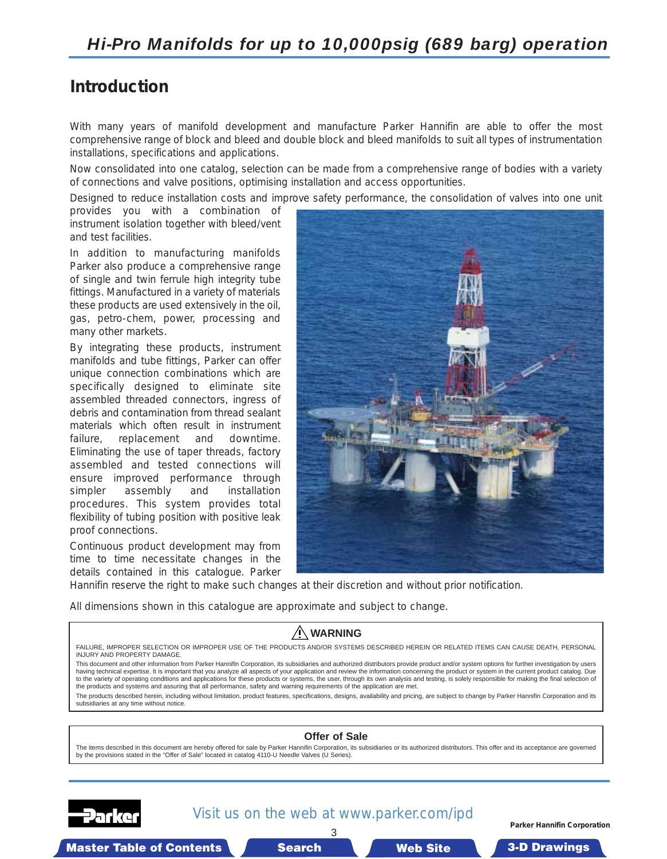# <span id="page-2-0"></span>**Introduction**

With many years of manifold development and manufacture Parker Hannifin are able to offer the most comprehensive range of block and bleed and double block and bleed manifolds to suit all types of instrumentation installations, specifications and applications.

Now consolidated into one catalog, selection can be made from a comprehensive range of bodies with a variety of connections and valve positions, optimising installation and access opportunities.

Designed to reduce installation costs and improve safety performance, the consolidation of valves into one unit

provides you with a combination of instrument isolation together with bleed/vent and test facilities.

In addition to manufacturing manifolds Parker also produce a comprehensive range of single and twin ferrule high integrity tube fittings. Manufactured in a variety of materials these products are used extensively in the oil, gas, petro-chem, power, processing and many other markets.

By integrating these products, instrument manifolds and tube fittings, Parker can offer unique connection combinations which are specifically designed to eliminate site assembled threaded connectors, ingress of debris and contamination from thread sealant materials which often result in instrument failure, replacement and downtime. Eliminating the use of taper threads, factory assembled and tested connections will ensure improved performance through simpler assembly and installation procedures. This system provides total flexibility of tubing position with positive leak proof connections.

Continuous product development may from time to time necessitate changes in the details contained in this catalogue. Parker



Hannifin reserve the right to make such changes at their discretion and without prior notification.

All dimensions shown in this catalogue are approximate and subject to change.

### **WARNING**

FAILURE, IMPROPER SELECTION OR IMPROPER USE OF THE PRODUCTS AND/OR SYSTEMS DESCRIBED HEREIN OR RELATED ITEMS CAN CAUSE DEATH, PERSONAL INJURY AND PROPERTY DAMAGE.

This document and other information from Parker Hannifin Corporation, its subsidiaries and authorized distributors provide product and/or system options for further investigation by users having technical expertise. It is important that you analyze all aspects of your application and review the information concerning the product or system in the current product catalog. Due<br>to the variety of operating condi the products and systems and assuring that all performance, safety and warning requirements of the application are met.

The products described herein, including without limitation, product features, specifications, designs, availability and pricing, are subject to change by Parker Hannifin Corporation and its subsidiaries at any time without notice.

#### **Offer of Sale**

The items described in this document are hereby offered for sale by Parker Hannifin Corporation, its subsidiaries or its authorized distributors. This offer and its acceptance are governed by the provisions stated in the "Offer of Sale" located in catalog 4110-U Needle Valves (U Series).



### Visit us on the web at www.parker.com/ipd 3

**Parker Hannifin Corporation**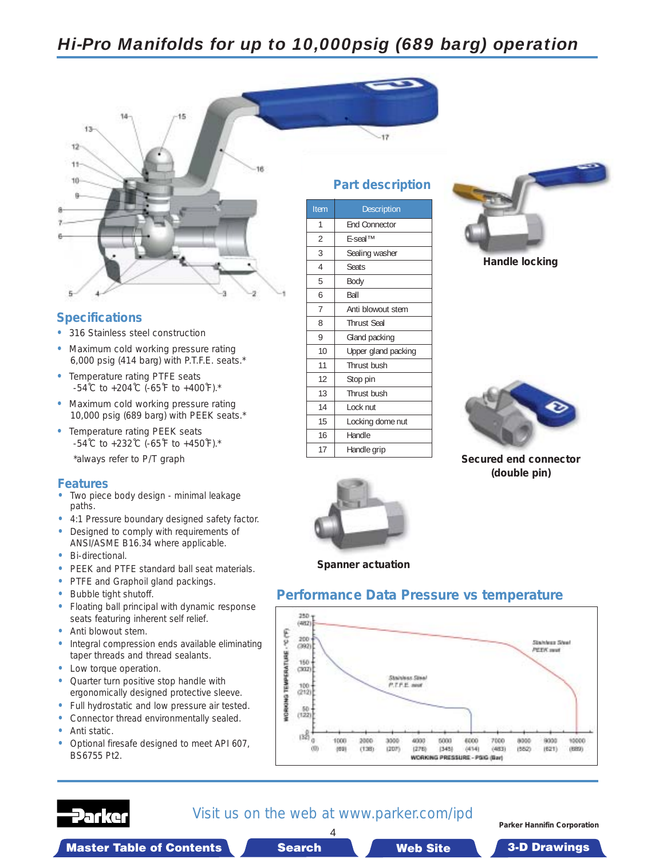# <span id="page-3-0"></span>*Hi-Pro Manifolds for up to 10,000psig (689 barg) operation*



### **Specifications**

- **•** 316 Stainless steel construction
- **•** Maximum cold working pressure rating 6,000 psig (414 barg) with P.T.F.E. seats.\*
- **•** Temperature rating PTFE seats -54˚C to +204˚C (-65˚F to +400˚F).\*
- **•** Maximum cold working pressure rating 10,000 psig (689 barg) with PEEK seats.\*
- **•** Temperature rating PEEK seats -54˚C to +232˚C (-65˚F to +450˚F).\* \*always refer to P/T graph

#### **Features**

- **•** Two piece body design minimal leakage paths.
- **•** 4:1 Pressure boundary designed safety factor.
- **•** Designed to comply with requirements of ANSI/ASME B16.34 where applicable.
- **•** Bi-directional.
- **•** PEEK and PTFE standard ball seat materials.
- **•** PTFE and Graphoil gland packings.
- **•** Bubble tight shutoff.
- **•** Floating ball principal with dynamic response seats featuring inherent self relief.
- **•** Anti blowout stem.
- **•** Integral compression ends available eliminating taper threads and thread sealants.
- **•** Low torque operation.
- **•** Quarter turn positive stop handle with ergonomically designed protective sleeve.
- **•** Full hydrostatic and low pressure air tested.
- **•** Connector thread environmentally sealed.
- **•** Anti static.
- **•** Optional firesafe designed to meet API 607, BS6755 Pt2.

### **Part description**

| Item           | <b>Description</b>   |
|----------------|----------------------|
| 1              | <b>End Connector</b> |
| $\overline{2}$ | <b>F-seal™</b>       |
| 3              | Sealing washer       |
| 4              | <b>Seats</b>         |
| 5              | Body                 |
| 6              | Ball                 |
| 7              | Anti blowout stem    |
| 8              | <b>Thrust Seal</b>   |
| 9              | Gland packing        |
| 10             | Upper gland packing  |
| 11             | Thrust bush          |
| 12             | Stop pin             |
| 13             | Thrust bush          |
| 14             | Lock nut             |
| 15             | Locking dome nut     |
| 16             | Handle               |
| 17             | Handle grip          |



**Handle locking**



**Secured end connector (double pin)**



**Spanner actuation**

### **Performance Data Pressure vs temperature**





### Visit us on the web at www.parker.com/ipd 4

**Parker Hannifin Corporation**

Master Table of Contents  $\blacksquare$  Search Maste in T Site able of Contents 3-D Drawings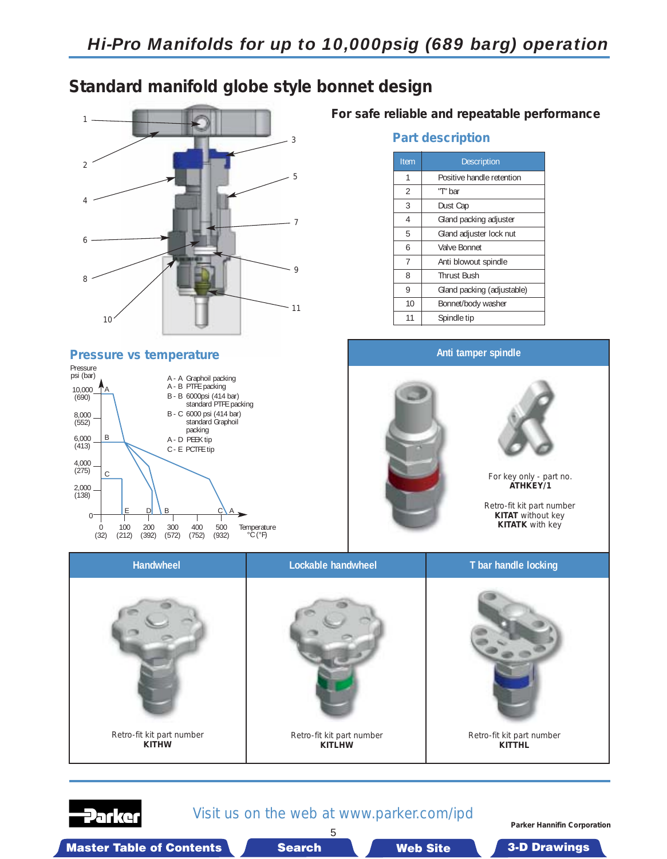# <span id="page-4-0"></span>**Standard manifold globe style bonnet design**



#### **Pressure vs temperature**

2anke



**For safe reliable and repeatable performance**

### **Part description**

| Item | <b>Description</b>         |  |
|------|----------------------------|--|
| 1    | Positive handle retention  |  |
| 2    | "T" bar                    |  |
| 3    | Dust Cap                   |  |
| 4    | Gland packing adjuster     |  |
| 5    | Gland adjuster lock nut    |  |
| 6    | Valve Bonnet               |  |
| 7    | Anti blowout spindle       |  |
| 8    | <b>Thrust Bush</b>         |  |
| 9    | Gland packing (adjustable) |  |
| 10   | Bonnet/body washer         |  |
| 11   | Spindle tip                |  |



### Visit us on the web at www.parker.com/ipd 5

**Parker Hannifin Corporation**

Master Table of Contents **3. Dearch Master Table of Contents 3-D Drawings** Search Master Table of Contents 3-D Drawings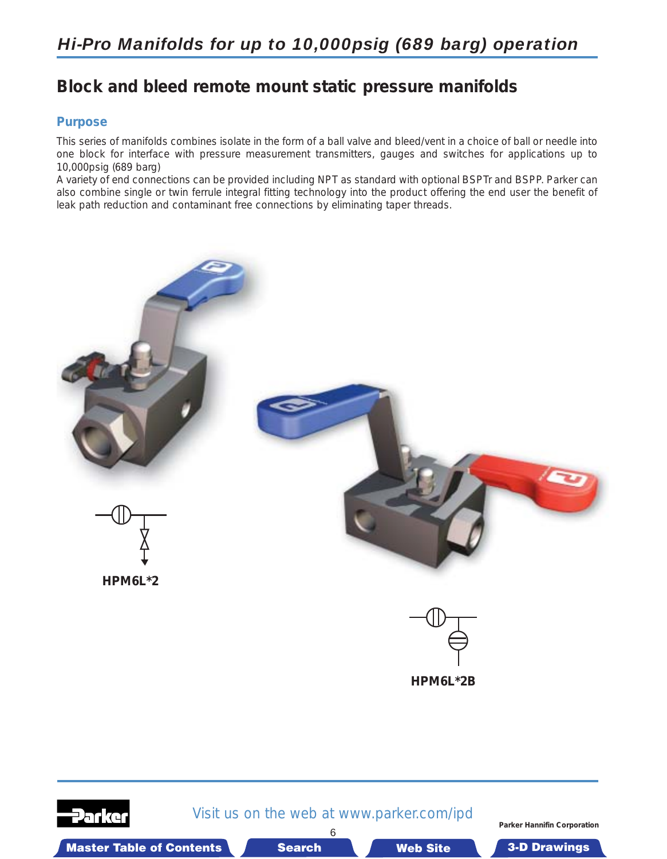# <span id="page-5-0"></span>*Hi-Pro Manifolds for up to 10,000psig (689 barg) operation*

# **Block and bleed remote mount static pressure manifolds**

### **Purpose**

This series of manifolds combines isolate in the form of a ball valve and bleed/vent in a choice of ball or needle into one block for interface with pressure measurement transmitters, gauges and switches for applications up to 10,000psig (689 barg)

A variety of end connections can be provided including NPT as standard with optional BSPTr and BSPP. Parker can also combine single or twin ferrule integral fitting technology into the product offering the end user the benefit of leak path reduction and contaminant free connections by eliminating taper threads.



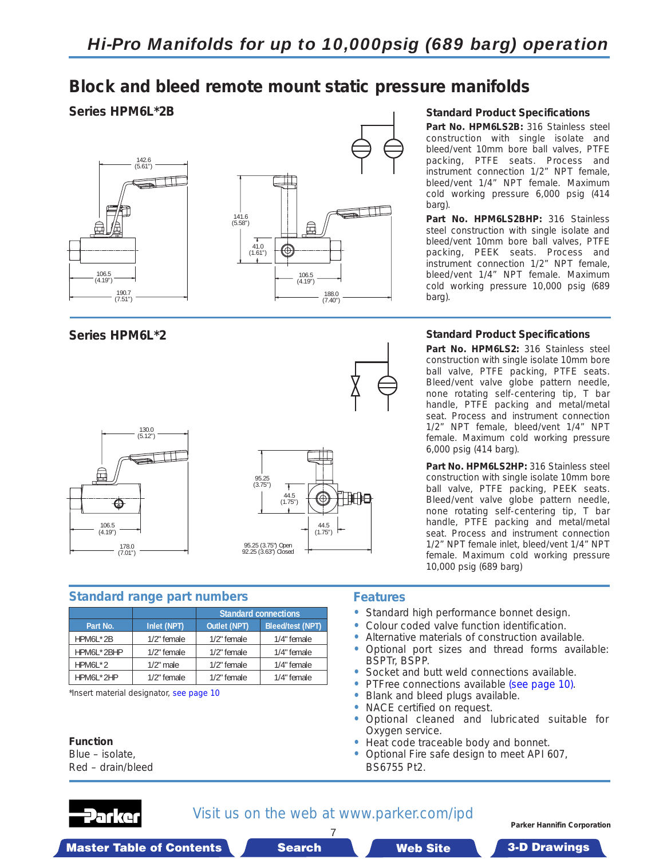# **Block and bleed remote mount static pressure manifolds**

### **Series HPM6L\*2B**





**Series HPM6L\*2**



### **Standard range part numbers**

|            |              | <b>Standard connections</b> |                         |
|------------|--------------|-----------------------------|-------------------------|
| Part No.   | Inlet (NPT)  | <b>Outlet (NPT)</b>         | <b>Bleed/test (NPT)</b> |
| HPM6L*2B   | 1/2" female  | 1/2" female                 | 1/4" female             |
| HPM6L*2BHP | 1/2" female  | 1/2" female                 | 1/4" female             |
| $HPM6L*2$  | $1/2$ " male | 1/2" female                 | 1/4" female             |
| HPM6L*2HP  | 1/2" female  | 1/2" female                 | 1/4" female             |

\*Insert material designator, see page 10

**Function**

Blue – isolate, Red – drain/bleed

### **Features**

- **•** Standard high performance bonnet design.
- **•** Colour coded valve function identification.
- **•** Alternative materials of construction available.
- **•** Optional port sizes and thread forms available: BSPTr, BSPP.
- **•** Socket and butt weld con[nections available.](#page-9-0)
- **•** PTFree connections available (see page 10).
- **•** Blank and bleed plugs available.
- **•** NACE certified on request.
- **•** Optional cleaned and lubricated suitable for Oxygen service.
- **•** Heat code traceable body and bonnet.
- **•** Optional Fire safe design to meet API 607, BS6755 Pt2.



### Visit us on the web at www.parker.com/ipd 7

**Parker Hannifin Corporation**

Master Table of Contents **3. Search Master Table of Contents 3-D Drawings Search** Master Table of Contents 3-D Drawings

**Standard Product Specifications**

**Part No. HPM6LS2B:** 316 Stainless steel construction with single isolate and bleed/vent 10mm bore ball valves, PTFE packing, PTFE seats. Process and instrument connection 1/2" NPT female, bleed/vent 1/4" NPT female. Maximum cold working pressure 6,000 psig (414 barg).

**Part No. HPM6LS2BHP:** 316 Stainless steel construction with single isolate and bleed/vent 10mm bore ball valves, PTFE packing, PEEK seats. Process and instrument connection 1/2" NPT female, bleed/vent 1/4" NPT female. Maximum cold working pressure 10,000 psig (689 barg).

### **Standard Product Specifications**

**Part No. HPM6LS2:** 316 Stainless steel construction with single isolate 10mm bore ball valve, PTFE packing, PTFE seats. Bleed/vent valve globe pattern needle, none rotating self-centering tip, T bar handle, PTFE packing and metal/metal seat. Process and instrument connection 1/2" NPT female, bleed/vent 1/4" NPT female. Maximum cold working pressure 6,000 psig (414 barg).

**Part No. HPM6LS2HP:** 316 Stainless steel construction with single isolate 10mm bore ball valve, PTFE packing, PEEK seats. Bleed/vent valve globe pattern needle, none rotating self-centering tip, T bar handle, PTFE packing and metal/metal seat. Process and instrument connection 1/2" NPT female inlet, bleed/vent 1/4" NPT female. Maximum cold working pressure 10,000 psig (689 barg)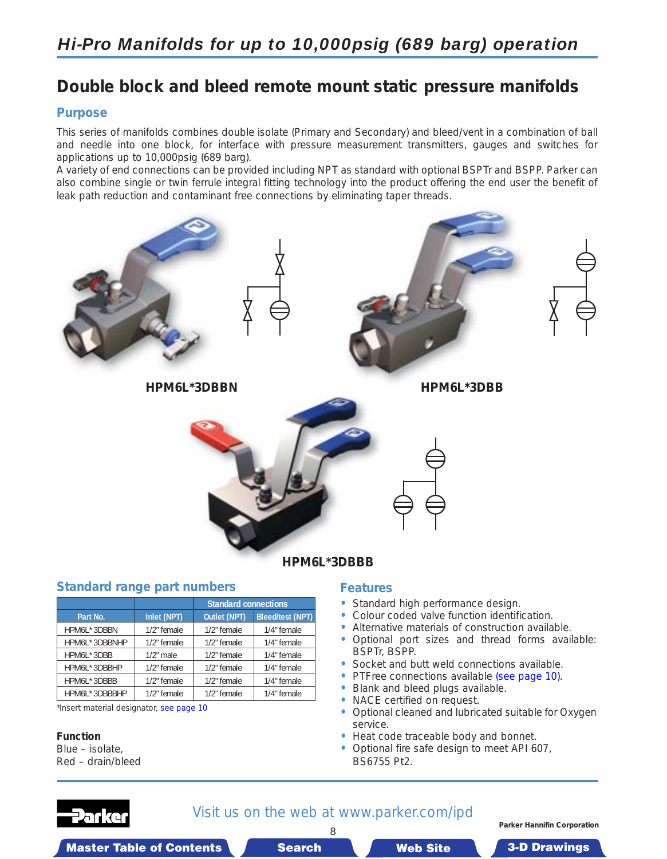# <span id="page-7-0"></span>*Hi-Pro Manifolds for up to 10,000psig (689 barg) operation*

# **Double block and bleed remote mount static pressure manifolds**

#### **Purpose**

This series of manifolds combines double isolate (Primary and Secondary) and bleed/vent in a combination of ball and needle into one block, for interface with pressure measurement transmitters, gauges and switches for applications up to 10,000psig (689 barg).

A variety of end connections can be provided including NPT as standard with optional BSPTr and BSPP. Parker can also combine single or twin ferrule integral fitting technology into the product offering the end user the benefit of leak path reduction and contaminant free connections by eliminating taper threads.



#### **Standard range part numbers**

|               |              | <b>Standard connections</b> |                         |  |
|---------------|--------------|-----------------------------|-------------------------|--|
| Part No.      | Inlet (NPT)  | Outlet (NPT)                | <b>Bleed/test (NPT)</b> |  |
| HPM6L*3DBBN   | 1/2" female  | 1/2" female                 | 1/4" female             |  |
| HPM6L*3DBBNHP | 1/2" female  | 1/2" female                 | 1/4" female             |  |
| HPM6L*3DBB    | $1/2$ " male | 1/2" female                 | 1/4" female             |  |
| HPM6L*3DBBHP  | 1/2" female  | 1/2" female                 | 1/4" female             |  |
| HPM6L*3DBBB   | 1/2" female  | 1/2" female                 | 1/4" female             |  |
| HPM6L*3DBBBHP | 1/2" female  | 1/2" female                 | 1/4" female             |  |

\*Insert material designator, see page 10

#### **Function**

Blue – isolate, Red – drain/bleed

### **Features**

- **•** Standard high performance design.
- **•** Colour coded valve function identification.
- **•** Alternative materials of construction available.
- **•** Optional port sizes and thread forms available: BSPTr, BSPP.
- **•** Socket and butt weld co[nnections available.](#page-9-0)
- **•** PTFree connections available (see page 10).
- **•** Blank and bleed plugs available.
- **•** NACE certified on request.
- **•** Optional cleaned and lubricated suitable for Oxygen service.
- **•** Heat code traceable body and bonnet.
- **•** Optional fire safe design to meet API 607, BS6755 Pt2.



### Visit us on the web at www.parker.com/ipd 8

**Parker Hannifin Corporation**

Master Table of Contents  $\blacksquare$  Search Maste in T Site able of Contents 3-D Drawings

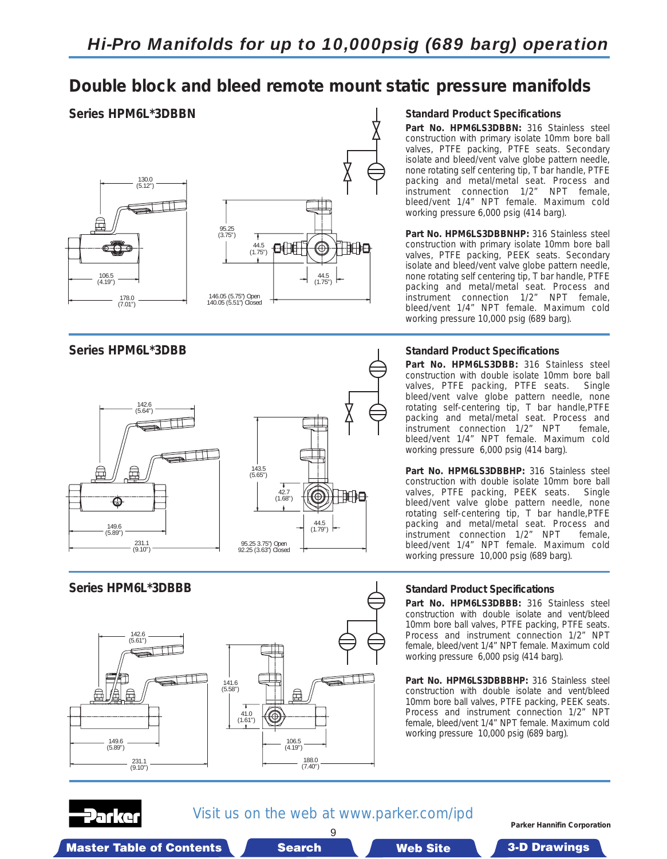# **Double block and bleed remote mount static pressure manifolds**

### **Series HPM6L\*3DBBN**



**Series HPM6L\*3DBB**



#### **Standard Product Specifications**

**Part No. HPM6LS3DBBN:** 316 Stainless steel construction with primary isolate 10mm bore ball valves, PTFE packing, PTFE seats. Secondary isolate and bleed/vent valve globe pattern needle, none rotating self centering tip, T bar handle, PTFE packing and metal/metal seat. Process and instrument connection 1/2" NPT female, bleed/vent 1/4" NPT female. Maximum cold working pressure 6,000 psig (414 barg).

**Part No. HPM6LS3DBBNHP:** 316 Stainless steel construction with primary isolate 10mm bore ball valves, PTFE packing, PEEK seats. Secondary isolate and bleed/vent valve globe pattern needle, none rotating self centering tip, T bar handle, PTFE packing and metal/metal seat. Process and instrument connection 1/2" NPT female, bleed/vent 1/4" NPT female. Maximum cold working pressure 10,000 psig (689 barg).

#### **Standard Product Specifications**

**Part No. HPM6LS3DBB:** 316 Stainless steel construction with double isolate 10mm bore ball valves, PTFE packing, PTFE seats. Single bleed/vent valve globe pattern needle, none rotating self-centering tip, T bar handle,PTFE packing and metal/metal seat. Process and instrument connection 1/2" NPT female, bleed/vent 1/4" NPT female. Maximum cold working pressure 6,000 psig (414 barg).

**Part No. HPM6LS3DBBHP:** 316 Stainless steel construction with double isolate 10mm bore ball<br>valves, PTFE packing, PEEK seats. Single valves, PTFE packing, PEEK seats. bleed/vent valve globe pattern needle, none rotating self-centering tip, T bar handle,PTFE packing and metal/metal seat. Process and instrument connection 1/2" NPT female, bleed/vent 1/4" NPT female. Maximum cold working pressure 10,000 psig (689 barg).



### **Standard Product Specifications**

**Part No. HPM6LS3DBBB:** 316 Stainless steel construction with double isolate and vent/bleed 10mm bore ball valves, PTFE packing, PTFE seats. Process and instrument connection 1/2" NPT female, bleed/vent 1/4" NPT female. Maximum cold working pressure 6,000 psig (414 barg).

**Part No. HPM6LS3DBBBHP:** 316 Stainless steel construction with double isolate and vent/bleed 10mm bore ball valves, PTFE packing, PEEK seats. Process and instrument connection 1/2" NPT female, bleed/vent 1/4" NPT female. Maximum cold working pressure 10,000 psig (689 barg).

# arko

Visit us on the web at www.parker.com/ipd 9

**Parker Hannifin Corporation**

Master Table of Contents  $\blacksquare$  Search Master T Web Site able of Contents 3-D Drawings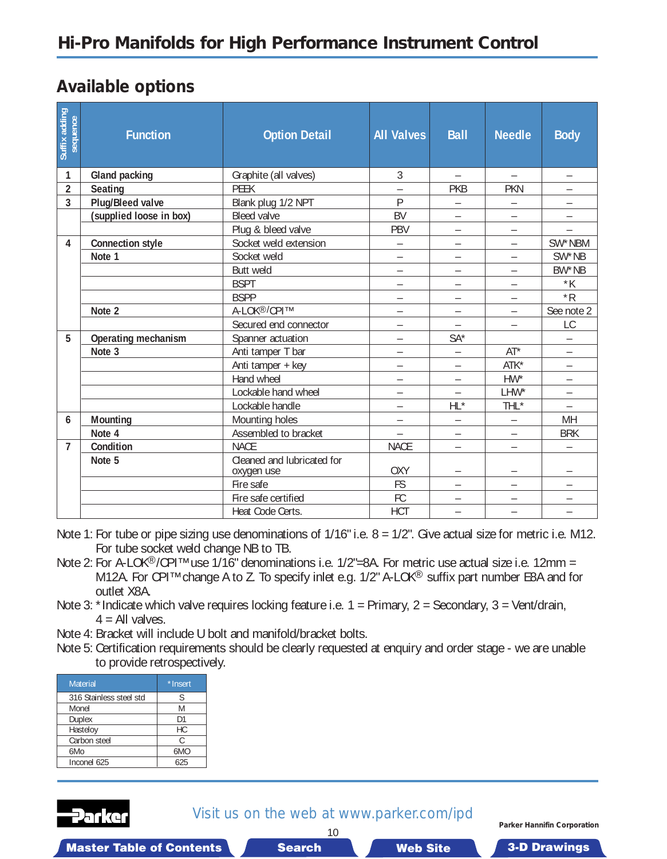# <span id="page-9-0"></span>**Available options**

| Suffix adding<br>sequence | <b>Function</b>         | <b>Option Detail</b>                     | <b>All Valves</b>        | <b>Ball</b>              | <b>Needle</b>            | <b>Body</b>              |
|---------------------------|-------------------------|------------------------------------------|--------------------------|--------------------------|--------------------------|--------------------------|
| 1                         | Gland packing           | Graphite (all valves)                    | 3                        | $\overline{\phantom{0}}$ | $\overline{\phantom{0}}$ | $\overline{\phantom{m}}$ |
| $\overline{2}$            | Seating                 | <b>PEEK</b>                              |                          | <b>PKB</b>               | <b>PKN</b>               |                          |
| 3                         | <b>Plug/Bleed valve</b> | Blank plug 1/2 NPT                       | P                        |                          |                          |                          |
|                           | (supplied loose in box) | <b>Bleed valve</b>                       | <b>BV</b>                | $\overline{\phantom{0}}$ | —                        |                          |
|                           |                         | Plug & bleed valve                       | PBV                      | $\overline{\phantom{0}}$ |                          |                          |
| 4                         | <b>Connection style</b> | Socket weld extension                    | $\equiv$                 | $\overline{\phantom{0}}$ | $\equiv$                 | SW*NBM                   |
|                           | Note 1                  | Socket weld                              |                          |                          | $\overline{\phantom{0}}$ | SW*NB                    |
|                           |                         | Butt weld                                | $\overline{\phantom{0}}$ | $\overline{\phantom{0}}$ | $\overline{\phantom{0}}$ | BW*NB                    |
|                           |                         | <b>BSPT</b>                              | $\overline{\phantom{0}}$ | $\overline{\phantom{0}}$ | $\overline{\phantom{0}}$ | $*K$                     |
|                           |                         | <b>BSPP</b>                              |                          | $\overline{\phantom{0}}$ | $\overline{\phantom{0}}$ | $*R$                     |
|                           | Note 2                  | A-LOK <sup>®/</sup> CPI™                 |                          | $\overline{\phantom{0}}$ | $\overline{\phantom{0}}$ | See note 2               |
|                           |                         | Secured end connector                    |                          | $\overline{a}$           |                          | LC                       |
| 5                         | Operating mechanism     | Spanner actuation                        | $\overline{\phantom{0}}$ | $SA*$                    |                          | $\overline{\phantom{0}}$ |
|                           | Note 3                  | Anti tamper T bar                        |                          | $\overline{\phantom{0}}$ | $AT^*$                   | $\overline{\phantom{0}}$ |
|                           |                         | Anti tamper + key                        | $\overline{\phantom{0}}$ | $\overline{\phantom{0}}$ | ATK*                     |                          |
|                           |                         | Hand wheel                               | —                        | $\overline{\phantom{0}}$ | $HW^*$                   |                          |
|                           |                         | Lockable hand wheel                      | $\overline{\phantom{0}}$ | $\overline{a}$           | LHW*                     | $\overline{\phantom{0}}$ |
|                           |                         | Lockable handle                          | $\overline{\phantom{0}}$ | $HL^*$                   | THL*                     | $\overline{\phantom{0}}$ |
| 6                         | Mounting                | Mounting holes                           |                          |                          |                          | MH                       |
|                           | Note 4                  | Assembled to bracket                     |                          | $\overline{\phantom{0}}$ | $\overline{\phantom{0}}$ | <b>BRK</b>               |
| $\overline{7}$            | Condition               | <b>NACE</b>                              | <b>NACE</b>              | $\overline{\phantom{0}}$ | $\overline{\phantom{0}}$ |                          |
|                           | Note 5                  | Cleaned and lubricated for<br>oxygen use | <b>OXY</b>               |                          | —                        | $\overline{\phantom{0}}$ |
|                           |                         | Fire safe                                | <b>FS</b>                | -                        | $\overline{\phantom{0}}$ | $\overline{\phantom{0}}$ |
|                           |                         | Fire safe certified                      | FC                       | $\overline{\phantom{0}}$ | $\qquad \qquad -$        | $\qquad \qquad -$        |
|                           |                         | Heat Code Certs.                         | <b>HCT</b>               | $\overline{\phantom{0}}$ | $\overline{\phantom{0}}$ | $\overline{\phantom{m}}$ |

Note 1: For tube or pipe sizing use denominations of 1/16" i.e.  $8 = 1/2$ ". Give actual size for metric i.e. M12. For tube socket weld change NB to TB.

- Note 2: For A-LOK®/CPI™ use 1/16" denominations i.e. 1/2"=8A. For metric use actual size i.e. 12mm = M12A. For CPI<sup>™</sup> change A to Z. To specify inlet e.g. 1/2" A-LOK<sup>®</sup> suffix part number E8A and for outlet X8A.
- Note 3: \*Indicate which valve requires locking feature i.e.  $1 =$  Primary,  $2 =$  Secondary,  $3 =$  Vent/drain,  $4 =$  All valves.
- Note 4: Bracket will include U bolt and manifold/bracket bolts.
- Note 5: Certification requirements should be clearly requested at enquiry and order stage we are unable to provide retrospectively.

| <b>Material</b>         | *Insert         |
|-------------------------|-----------------|
| 316 Stainless steel std | S               |
| Monel                   | M               |
| <b>Duplex</b>           | D1              |
| Hasteloy                | НC              |
| Carbon steel            | C               |
| 6Mo                     | 6M <sub>O</sub> |
| Inconel 625             | 625             |



Visit us on the web at www.parker.com/ipd 10

**Parker Hannifin Corporation**

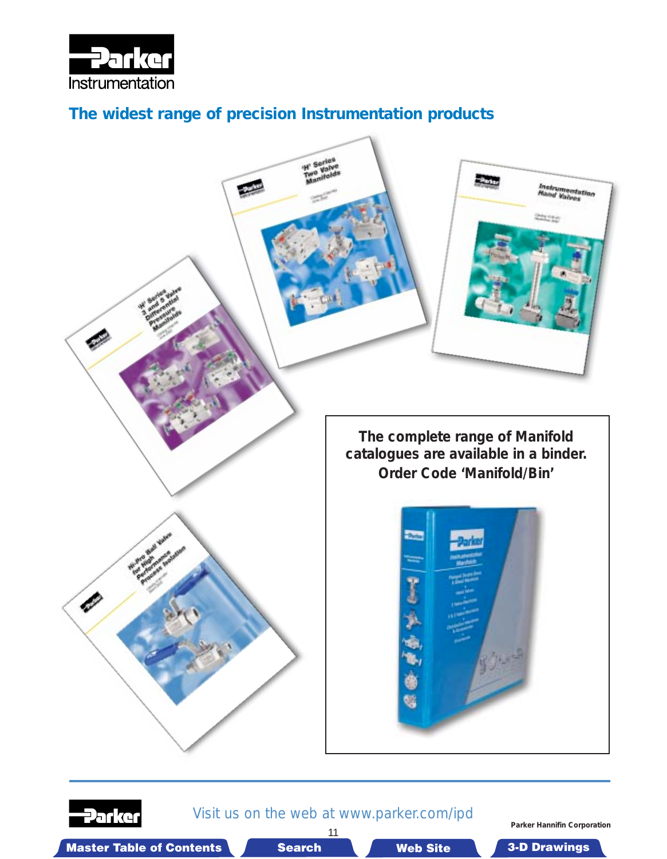

# *The widest range of precision Instrumentation products*





Visit us on the web at www.parker.com/ipd 11

**Parker Hannifin Corporation**

Master Table of Contents **3. Dearch Master Table of Contents 3-D Drawings 3-D Drawings** 3-D Drawings